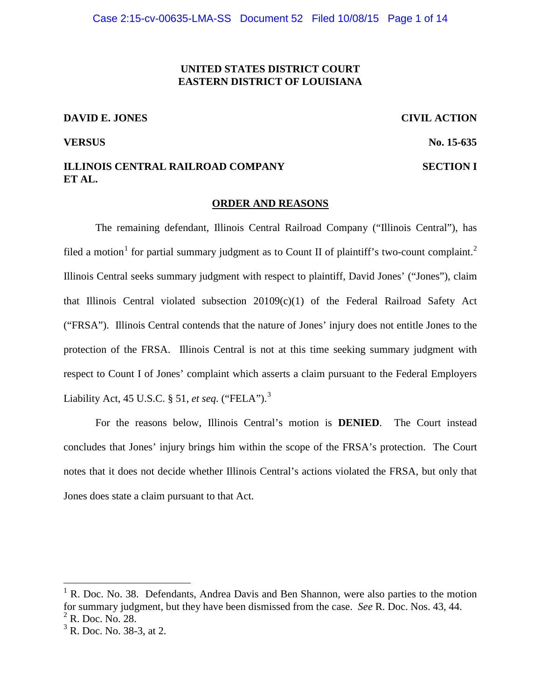## **UNITED STATES DISTRICT COURT EASTERN DISTRICT OF LOUISIANA**

### **DAVID E. JONES CIVIL ACTION**

# **ILLINOIS CENTRAL RAILROAD COMPANY SECTION I ET AL.**

## **VERSUS No. 15-635**

#### **ORDER AND REASONS**

The remaining defendant, Illinois Central Railroad Company ("Illinois Central"), has filed a motion<sup>1</sup> for partial summary judgment as to Count II of plaintiff's two-count complaint.<sup>2</sup> Illinois Central seeks summary judgment with respect to plaintiff, David Jones' ("Jones"), claim that Illinois Central violated subsection 20109(c)(1) of the Federal Railroad Safety Act ("FRSA"). Illinois Central contends that the nature of Jones' injury does not entitle Jones to the protection of the FRSA. Illinois Central is not at this time seeking summary judgment with respect to Count I of Jones' complaint which asserts a claim pursuant to the Federal Employers Liability Act, 45 U.S.C. § 51, *et seq*. ("FELA").<sup>3</sup>

For the reasons below, Illinois Central's motion is **DENIED**. The Court instead concludes that Jones' injury brings him within the scope of the FRSA's protection. The Court notes that it does not decide whether Illinois Central's actions violated the FRSA, but only that Jones does state a claim pursuant to that Act.

 $1 \text{ R}$ . Doc. No. 38. Defendants, Andrea Davis and Ben Shannon, were also parties to the motion for summary judgment, but they have been dismissed from the case. *See* R. Doc. Nos. 43, 44.  $2$  R. Doc. No. 28.

 $3^3$  R. Doc. No. 38-3, at 2.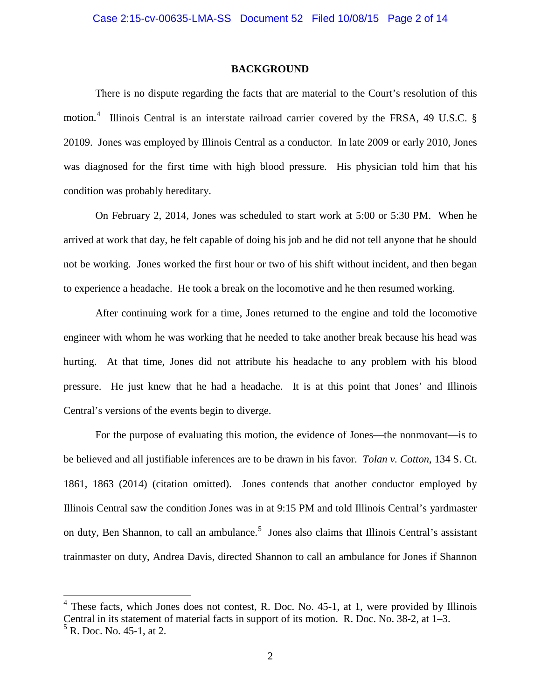#### **BACKGROUND**

There is no dispute regarding the facts that are material to the Court's resolution of this motion.<sup>4</sup> Illinois Central is an interstate railroad carrier covered by the FRSA, 49 U.S.C. § 20109. Jones was employed by Illinois Central as a conductor. In late 2009 or early 2010, Jones was diagnosed for the first time with high blood pressure. His physician told him that his condition was probably hereditary.

On February 2, 2014, Jones was scheduled to start work at 5:00 or 5:30 PM. When he arrived at work that day, he felt capable of doing his job and he did not tell anyone that he should not be working. Jones worked the first hour or two of his shift without incident, and then began to experience a headache. He took a break on the locomotive and he then resumed working.

After continuing work for a time, Jones returned to the engine and told the locomotive engineer with whom he was working that he needed to take another break because his head was hurting. At that time, Jones did not attribute his headache to any problem with his blood pressure. He just knew that he had a headache. It is at this point that Jones' and Illinois Central's versions of the events begin to diverge.

For the purpose of evaluating this motion, the evidence of Jones—the nonmovant—is to be believed and all justifiable inferences are to be drawn in his favor. *Tolan v. Cotton*, 134 S. Ct. 1861, 1863 (2014) (citation omitted). Jones contends that another conductor employed by Illinois Central saw the condition Jones was in at 9:15 PM and told Illinois Central's yardmaster on duty, Ben Shannon, to call an ambulance.<sup>5</sup> Jones also claims that Illinois Central's assistant trainmaster on duty, Andrea Davis, directed Shannon to call an ambulance for Jones if Shannon

 $4$  These facts, which Jones does not contest, R. Doc. No. 45-1, at 1, were provided by Illinois Central in its statement of material facts in support of its motion. R. Doc. No. 38-2, at 1–3.  $<sup>5</sup>$  R. Doc. No. 45-1, at 2.</sup>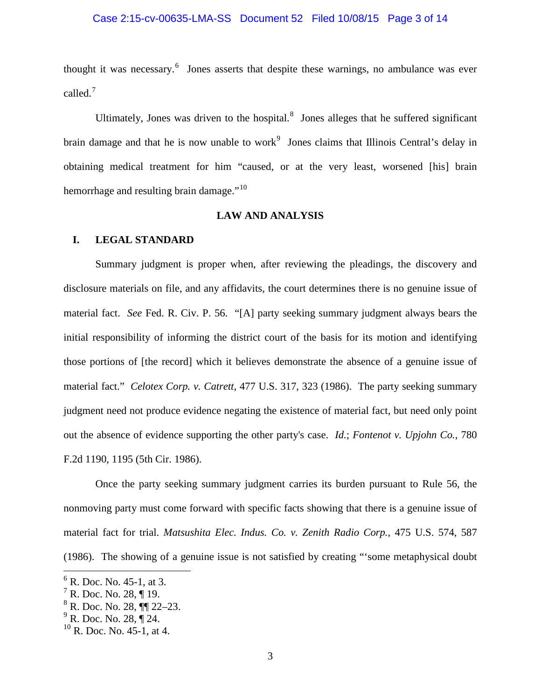## Case 2:15-cv-00635-LMA-SS Document 52 Filed 10/08/15 Page 3 of 14

thought it was necessary.<sup>6</sup> Jones asserts that despite these warnings, no ambulance was ever called.<sup>7</sup>

Ultimately, Jones was driven to the hospital. $<sup>8</sup>$  Jones alleges that he suffered significant</sup> brain damage and that he is now unable to work<sup>9</sup> Jones claims that Illinois Central's delay in obtaining medical treatment for him "caused, or at the very least, worsened [his] brain hemorrhage and resulting brain damage."<sup>10</sup>

## **LAW AND ANALYSIS**

## **I. LEGAL STANDARD**

Summary judgment is proper when, after reviewing the pleadings, the discovery and disclosure materials on file, and any affidavits, the court determines there is no genuine issue of material fact. *See* Fed. R. Civ. P. 56. "[A] party seeking summary judgment always bears the initial responsibility of informing the district court of the basis for its motion and identifying those portions of [the record] which it believes demonstrate the absence of a genuine issue of material fact." *Celotex Corp. v. Catrett*, 477 U.S. 317, 323 (1986). The party seeking summary judgment need not produce evidence negating the existence of material fact, but need only point out the absence of evidence supporting the other party's case. *Id.*; *Fontenot v. Upjohn Co.*, 780 F.2d 1190, 1195 (5th Cir. 1986).

Once the party seeking summary judgment carries its burden pursuant to Rule 56, the nonmoving party must come forward with specific facts showing that there is a genuine issue of material fact for trial. *Matsushita Elec. Indus. Co. v. Zenith Radio Corp.*, 475 U.S. 574, 587 (1986). The showing of a genuine issue is not satisfied by creating "'some metaphysical doubt

 $6$  R. Doc. No. 45-1, at 3.

 $<sup>7</sup>$  R. Doc. No. 28, ¶ 19.</sup>

 $^8$  R. Doc. No. 28, ¶¶ 22–23.<br><sup>9</sup> R. Doc. No. 28, ¶ 24.

 $^{10}$  R. Doc. No. 45-1, at 4.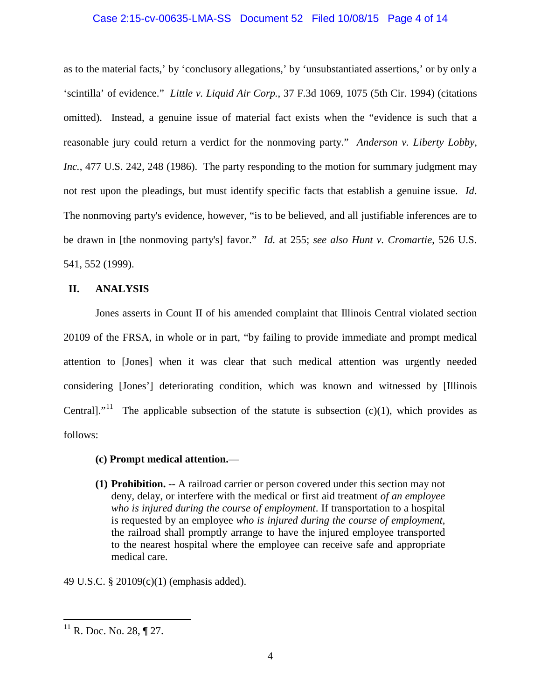## Case 2:15-cv-00635-LMA-SS Document 52 Filed 10/08/15 Page 4 of 14

as to the material facts,' by 'conclusory allegations,' by 'unsubstantiated assertions,' or by only a 'scintilla' of evidence." *Little v. Liquid Air Corp.*, 37 F.3d 1069, 1075 (5th Cir. 1994) (citations omitted). Instead, a genuine issue of material fact exists when the "evidence is such that a reasonable jury could return a verdict for the nonmoving party." *Anderson v. Liberty Lobby*, *Inc.*, 477 U.S. 242, 248 (1986). The party responding to the motion for summary judgment may not rest upon the pleadings, but must identify specific facts that establish a genuine issue. *Id*. The nonmoving party's evidence, however, "is to be believed, and all justifiable inferences are to be drawn in [the nonmoving party's] favor." *Id.* at 255; *see also Hunt v. Cromartie*, 526 U.S. 541, 552 (1999).

## **II. ANALYSIS**

Jones asserts in Count II of his amended complaint that Illinois Central violated section 20109 of the FRSA, in whole or in part, "by failing to provide immediate and prompt medical attention to [Jones] when it was clear that such medical attention was urgently needed considering [Jones'] deteriorating condition, which was known and witnessed by [Illinois Centrall."<sup>11</sup> The applicable subsection of the statute is subsection  $(c)(1)$ , which provides as follows:

## **(c) Prompt medical attention.**—

**(1) Prohibition.** -- A railroad carrier or person covered under this section may not deny, delay, or interfere with the medical or first aid treatment *of an employee who is injured during the course of employment*. If transportation to a hospital is requested by an employee *who is injured during the course of employment*, the railroad shall promptly arrange to have the injured employee transported to the nearest hospital where the employee can receive safe and appropriate medical care.

49 U.S.C. § 20109(c)(1) (emphasis added).

 $11$  R. Doc. No. 28, ¶ 27.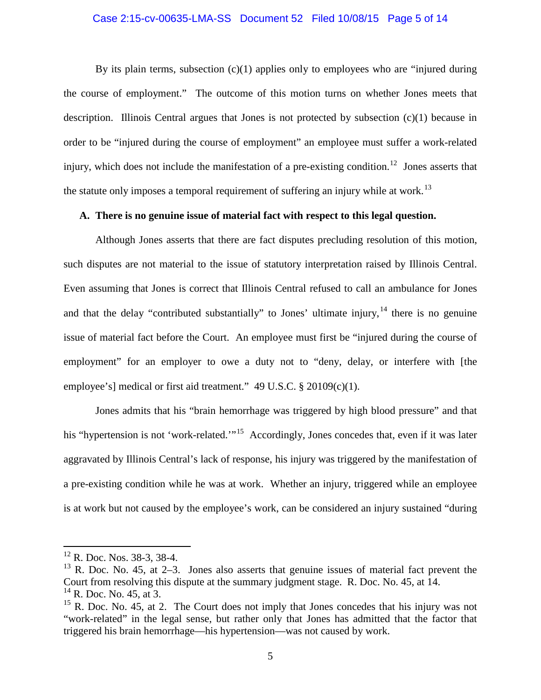#### Case 2:15-cv-00635-LMA-SS Document 52 Filed 10/08/15 Page 5 of 14

By its plain terms, subsection  $(c)(1)$  applies only to employees who are "injured during" the course of employment." The outcome of this motion turns on whether Jones meets that description. Illinois Central argues that Jones is not protected by subsection (c)(1) because in order to be "injured during the course of employment" an employee must suffer a work-related injury, which does not include the manifestation of a pre-existing condition.<sup>12</sup> Jones asserts that the statute only imposes a temporal requirement of suffering an injury while at work.<sup>13</sup>

## **A. There is no genuine issue of material fact with respect to this legal question.**

Although Jones asserts that there are fact disputes precluding resolution of this motion, such disputes are not material to the issue of statutory interpretation raised by Illinois Central. Even assuming that Jones is correct that Illinois Central refused to call an ambulance for Jones and that the delay "contributed substantially" to Jones' ultimate injury,  $14$  there is no genuine issue of material fact before the Court. An employee must first be "injured during the course of employment" for an employer to owe a duty not to "deny, delay, or interfere with [the employee's] medical or first aid treatment." 49 U.S.C. § 20109(c)(1).

Jones admits that his "brain hemorrhage was triggered by high blood pressure" and that his "hypertension is not 'work-related.'"<sup>15</sup> Accordingly, Jones concedes that, even if it was later aggravated by Illinois Central's lack of response, his injury was triggered by the manifestation of a pre-existing condition while he was at work. Whether an injury, triggered while an employee is at work but not caused by the employee's work, can be considered an injury sustained "during

<sup>&</sup>lt;sup>12</sup> R. Doc. Nos. 38-3, 38-4.

 $13$  R. Doc. No. 45, at 2–3. Jones also asserts that genuine issues of material fact prevent the Court from resolving this dispute at the summary judgment stage. R. Doc. No. 45, at 14.  $^{14}$  R. Doc. No. 45, at 3.

 $15$  R. Doc. No. 45, at 2. The Court does not imply that Jones concedes that his injury was not "work-related" in the legal sense, but rather only that Jones has admitted that the factor that triggered his brain hemorrhage—his hypertension—was not caused by work.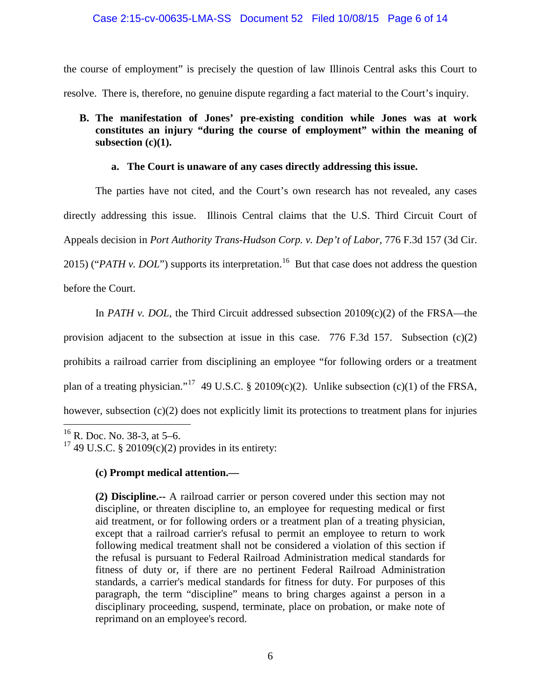## Case 2:15-cv-00635-LMA-SS Document 52 Filed 10/08/15 Page 6 of 14

the course of employment" is precisely the question of law Illinois Central asks this Court to resolve. There is, therefore, no genuine dispute regarding a fact material to the Court's inquiry.

# **B. The manifestation of Jones' pre-existing condition while Jones was at work constitutes an injury "during the course of employment" within the meaning of subsection (c)(1).**

## **a. The Court is unaware of any cases directly addressing this issue.**

The parties have not cited, and the Court's own research has not revealed, any cases directly addressing this issue. Illinois Central claims that the U.S. Third Circuit Court of Appeals decision in *Port Authority Trans-Hudson Corp. v. Dep't of Labor*, 776 F.3d 157 (3d Cir. 2015) ("*PATH v. DOL*") supports its interpretation.<sup>16</sup> But that case does not address the question before the Court.

In *PATH v. DOL*, the Third Circuit addressed subsection 20109(c)(2) of the FRSA—the

provision adjacent to the subsection at issue in this case. 776 F.3d 157. Subsection (c)(2) prohibits a railroad carrier from disciplining an employee "for following orders or a treatment plan of a treating physician."<sup>17</sup> 49 U.S.C. § 20109(c)(2). Unlike subsection (c)(1) of the FRSA, however, subsection (c)(2) does not explicitly limit its protections to treatment plans for injuries

# **(c) Prompt medical attention.—**

**(2) Discipline.--** A railroad carrier or person covered under this section may not discipline, or threaten discipline to, an employee for requesting medical or first aid treatment, or for following orders or a treatment plan of a treating physician, except that a railroad carrier's refusal to permit an employee to return to work following medical treatment shall not be considered a violation of this section if the refusal is pursuant to Federal Railroad Administration medical standards for fitness of duty or, if there are no pertinent Federal Railroad Administration standards, a carrier's medical standards for fitness for duty. For purposes of this paragraph, the term "discipline" means to bring charges against a person in a disciplinary proceeding, suspend, terminate, place on probation, or make note of reprimand on an employee's record.

 $16$  R. Doc. No. 38-3, at 5–6.

<sup>&</sup>lt;sup>17</sup> 49 U.S.C. § 20109(c)(2) provides in its entirety: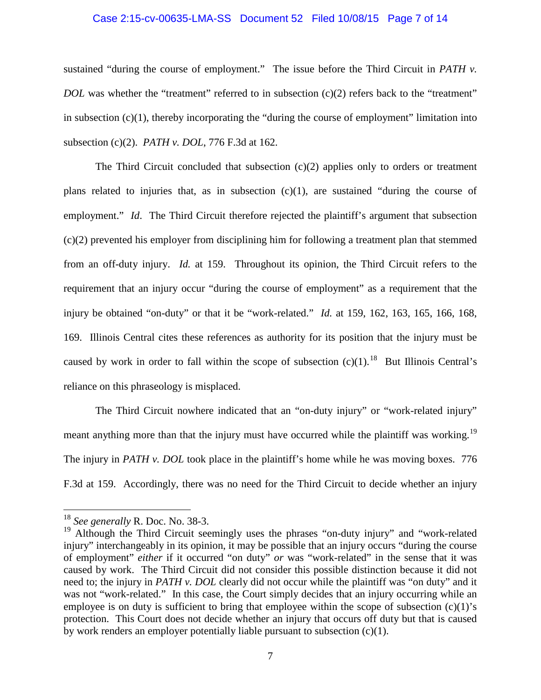#### Case 2:15-cv-00635-LMA-SS Document 52 Filed 10/08/15 Page 7 of 14

sustained "during the course of employment." The issue before the Third Circuit in *PATH v. DOL* was whether the "treatment" referred to in subsection (c)(2) refers back to the "treatment" in subsection  $(c)(1)$ , thereby incorporating the "during the course of employment" limitation into subsection (c)(2). *PATH v. DOL*, 776 F.3d at 162.

The Third Circuit concluded that subsection  $(c)(2)$  applies only to orders or treatment plans related to injuries that, as in subsection (c)(1), are sustained "during the course of employment." *Id.* The Third Circuit therefore rejected the plaintiff's argument that subsection (c)(2) prevented his employer from disciplining him for following a treatment plan that stemmed from an off-duty injury. *Id.* at 159. Throughout its opinion, the Third Circuit refers to the requirement that an injury occur "during the course of employment" as a requirement that the injury be obtained "on-duty" or that it be "work-related." *Id.* at 159, 162, 163, 165, 166, 168, 169. Illinois Central cites these references as authority for its position that the injury must be caused by work in order to fall within the scope of subsection  $(c)(1)$ .<sup>18</sup> But Illinois Central's reliance on this phraseology is misplaced.

The Third Circuit nowhere indicated that an "on-duty injury" or "work-related injury" meant anything more than that the injury must have occurred while the plaintiff was working.<sup>19</sup> The injury in *PATH v. DOL* took place in the plaintiff's home while he was moving boxes. 776 F.3d at 159. Accordingly, there was no need for the Third Circuit to decide whether an injury

 <sup>18</sup> *See generally* R. Doc. No. 38-3.

<sup>&</sup>lt;sup>19</sup> Although the Third Circuit seemingly uses the phrases "on-duty injury" and "work-related injury" interchangeably in its opinion, it may be possible that an injury occurs "during the course of employment" *either* if it occurred "on duty" *or* was "work-related" in the sense that it was caused by work. The Third Circuit did not consider this possible distinction because it did not need to; the injury in *PATH v. DOL* clearly did not occur while the plaintiff was "on duty" and it was not "work-related." In this case, the Court simply decides that an injury occurring while an employee is on duty is sufficient to bring that employee within the scope of subsection  $(c)(1)$ 's protection. This Court does not decide whether an injury that occurs off duty but that is caused by work renders an employer potentially liable pursuant to subsection (c)(1).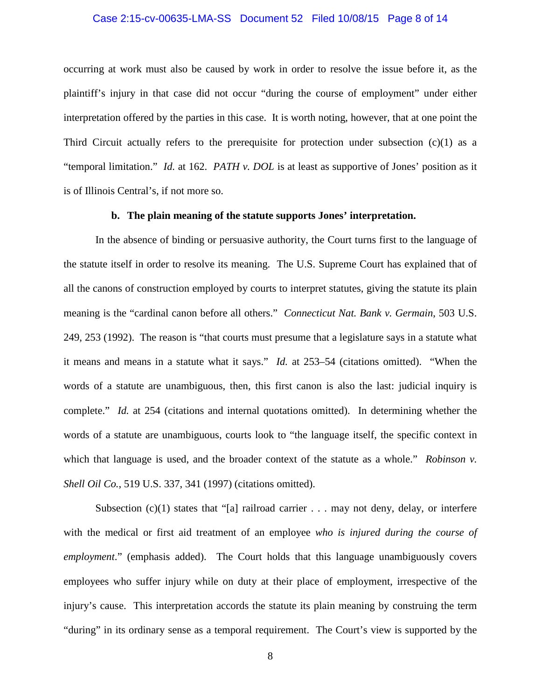#### Case 2:15-cv-00635-LMA-SS Document 52 Filed 10/08/15 Page 8 of 14

occurring at work must also be caused by work in order to resolve the issue before it, as the plaintiff's injury in that case did not occur "during the course of employment" under either interpretation offered by the parties in this case. It is worth noting, however, that at one point the Third Circuit actually refers to the prerequisite for protection under subsection  $(c)(1)$  as a "temporal limitation." *Id.* at 162. *PATH v. DOL* is at least as supportive of Jones' position as it is of Illinois Central's, if not more so.

## **b. The plain meaning of the statute supports Jones' interpretation.**

In the absence of binding or persuasive authority, the Court turns first to the language of the statute itself in order to resolve its meaning. The U.S. Supreme Court has explained that of all the canons of construction employed by courts to interpret statutes, giving the statute its plain meaning is the "cardinal canon before all others." *Connecticut Nat. Bank v. Germain*, 503 U.S. 249, 253 (1992). The reason is "that courts must presume that a legislature says in a statute what it means and means in a statute what it says." *Id.* at 253–54 (citations omitted). "When the words of a statute are unambiguous, then, this first canon is also the last: judicial inquiry is complete." *Id.* at 254 (citations and internal quotations omitted). In determining whether the words of a statute are unambiguous, courts look to "the language itself, the specific context in which that language is used, and the broader context of the statute as a whole." *Robinson v. Shell Oil Co.*, 519 U.S. 337, 341 (1997) (citations omitted).

Subsection  $(c)(1)$  states that "[a] railroad carrier . . . may not deny, delay, or interfere with the medical or first aid treatment of an employee *who is injured during the course of employment*." (emphasis added). The Court holds that this language unambiguously covers employees who suffer injury while on duty at their place of employment, irrespective of the injury's cause. This interpretation accords the statute its plain meaning by construing the term "during" in its ordinary sense as a temporal requirement. The Court's view is supported by the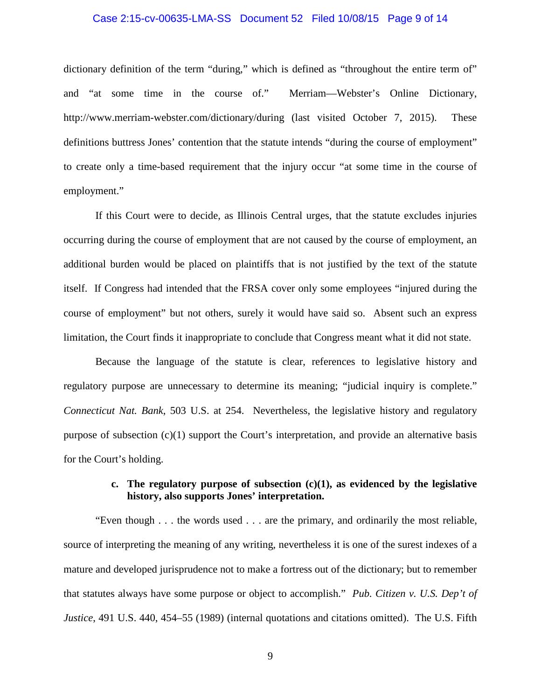#### Case 2:15-cv-00635-LMA-SS Document 52 Filed 10/08/15 Page 9 of 14

dictionary definition of the term "during," which is defined as "throughout the entire term of" and "at some time in the course of." Merriam—Webster's Online Dictionary, http://www.merriam-webster.com/dictionary/during (last visited October 7, 2015). These definitions buttress Jones' contention that the statute intends "during the course of employment" to create only a time-based requirement that the injury occur "at some time in the course of employment."

If this Court were to decide, as Illinois Central urges, that the statute excludes injuries occurring during the course of employment that are not caused by the course of employment, an additional burden would be placed on plaintiffs that is not justified by the text of the statute itself. If Congress had intended that the FRSA cover only some employees "injured during the course of employment" but not others, surely it would have said so. Absent such an express limitation, the Court finds it inappropriate to conclude that Congress meant what it did not state.

Because the language of the statute is clear, references to legislative history and regulatory purpose are unnecessary to determine its meaning; "judicial inquiry is complete." *Connecticut Nat. Bank*, 503 U.S. at 254. Nevertheless, the legislative history and regulatory purpose of subsection (c)(1) support the Court's interpretation, and provide an alternative basis for the Court's holding.

# **c. The regulatory purpose of subsection (c)(1), as evidenced by the legislative history, also supports Jones' interpretation.**

"Even though . . . the words used . . . are the primary, and ordinarily the most reliable, source of interpreting the meaning of any writing, nevertheless it is one of the surest indexes of a mature and developed jurisprudence not to make a fortress out of the dictionary; but to remember that statutes always have some purpose or object to accomplish." *Pub. Citizen v. U.S. Dep't of Justice*, 491 U.S. 440, 454–55 (1989) (internal quotations and citations omitted). The U.S. Fifth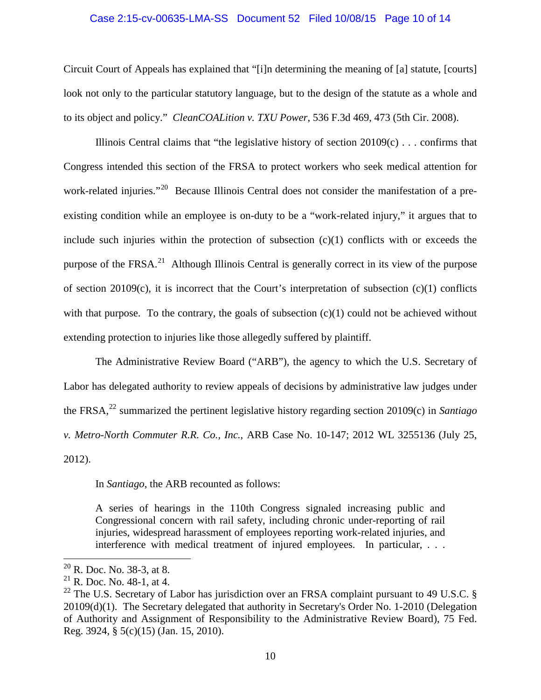#### Case 2:15-cv-00635-LMA-SS Document 52 Filed 10/08/15 Page 10 of 14

Circuit Court of Appeals has explained that "[i]n determining the meaning of [a] statute, [courts] look not only to the particular statutory language, but to the design of the statute as a whole and to its object and policy." *CleanCOALition v. TXU Power*, 536 F.3d 469, 473 (5th Cir. 2008).

Illinois Central claims that "the legislative history of section  $20109(c)$ ... confirms that Congress intended this section of the FRSA to protect workers who seek medical attention for work-related injuries."<sup>20</sup> Because Illinois Central does not consider the manifestation of a preexisting condition while an employee is on-duty to be a "work-related injury," it argues that to include such injuries within the protection of subsection  $(c)(1)$  conflicts with or exceeds the purpose of the  $FRSA.<sup>21</sup>$  Although Illinois Central is generally correct in its view of the purpose of section 20109(c), it is incorrect that the Court's interpretation of subsection (c)(1) conflicts with that purpose. To the contrary, the goals of subsection  $(c)(1)$  could not be achieved without extending protection to injuries like those allegedly suffered by plaintiff.

The Administrative Review Board ("ARB"), the agency to which the U.S. Secretary of Labor has delegated authority to review appeals of decisions by administrative law judges under the FRSA,<sup>22</sup> summarized the pertinent legislative history regarding section 20109(c) in *Santiago v. Metro-North Commuter R.R. Co., Inc.*, ARB Case No. 10-147; 2012 WL 3255136 (July 25, 2012).

In *Santiago*, the ARB recounted as follows:

A series of hearings in the 110th Congress signaled increasing public and Congressional concern with rail safety, including chronic under-reporting of rail injuries, widespread harassment of employees reporting work-related injuries, and interference with medical treatment of injured employees. In particular, . . .

 $^{20}$  R. Doc. No. 38-3, at 8.

 $^{21}$  R. Doc. No. 48-1, at 4.

<sup>&</sup>lt;sup>22</sup> The U.S. Secretary of Labor has jurisdiction over an FRSA complaint pursuant to 49 U.S.C.  $\delta$ 20109(d)(1). The Secretary delegated that authority in Secretary's Order No. 1-2010 (Delegation of Authority and Assignment of Responsibility to the Administrative Review Board), 75 Fed. Reg. 3924, § 5(c)(15) (Jan. 15, 2010).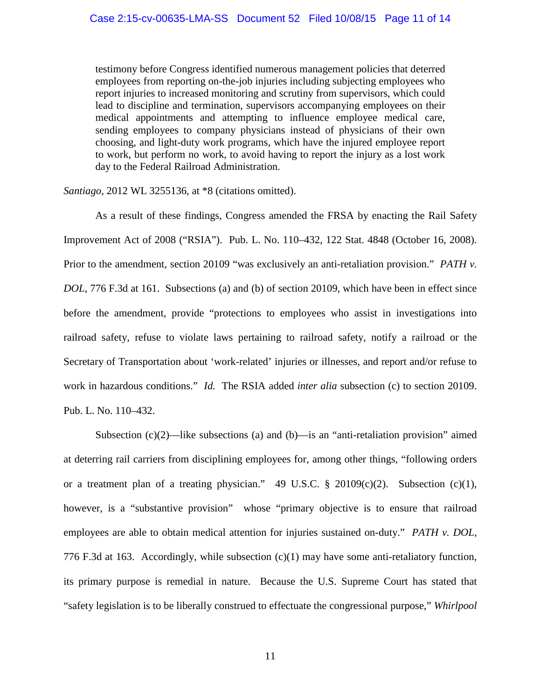testimony before Congress identified numerous management policies that deterred employees from reporting on-the-job injuries including subjecting employees who report injuries to increased monitoring and scrutiny from supervisors, which could lead to discipline and termination, supervisors accompanying employees on their medical appointments and attempting to influence employee medical care, sending employees to company physicians instead of physicians of their own choosing, and light-duty work programs, which have the injured employee report to work, but perform no work, to avoid having to report the injury as a lost work day to the Federal Railroad Administration.

*Santiago*, 2012 WL 3255136, at \*8 (citations omitted).

As a result of these findings, Congress amended the FRSA by enacting the Rail Safety Improvement Act of 2008 ("RSIA"). Pub. L. No. 110–432, 122 Stat. 4848 (October 16, 2008). Prior to the amendment, section 20109 "was exclusively an anti-retaliation provision." *PATH v. DOL*, 776 F.3d at 161. Subsections (a) and (b) of section 20109, which have been in effect since before the amendment, provide "protections to employees who assist in investigations into railroad safety, refuse to violate laws pertaining to railroad safety, notify a railroad or the Secretary of Transportation about 'work-related' injuries or illnesses, and report and/or refuse to work in hazardous conditions." *Id.* The RSIA added *inter alia* subsection (c) to section 20109. Pub. L. No. 110–432.

Subsection  $(c)(2)$ —like subsections (a) and (b)—is an "anti-retaliation provision" aimed at deterring rail carriers from disciplining employees for, among other things, "following orders or a treatment plan of a treating physician." 49 U.S.C.  $\S$  20109(c)(2). Subsection (c)(1), however, is a "substantive provision" whose "primary objective is to ensure that railroad employees are able to obtain medical attention for injuries sustained on-duty." *PATH v. DOL*, 776 F.3d at 163. Accordingly, while subsection (c)(1) may have some anti-retaliatory function, its primary purpose is remedial in nature. Because the U.S. Supreme Court has stated that "safety legislation is to be liberally construed to effectuate the congressional purpose," *Whirlpool*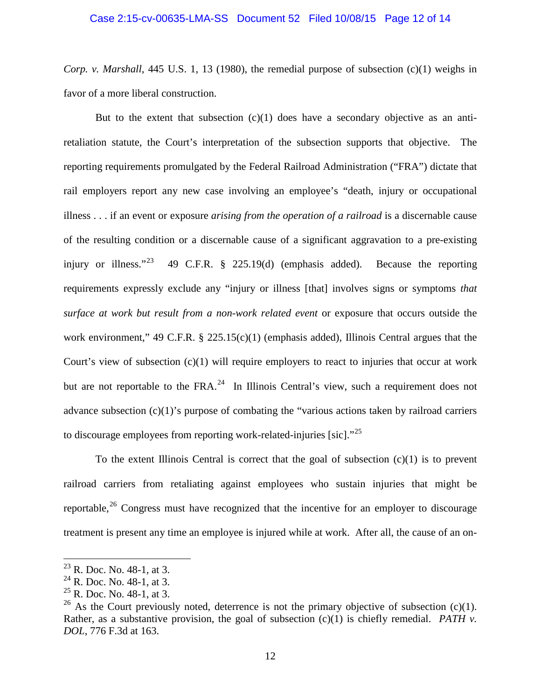# Case 2:15-cv-00635-LMA-SS Document 52 Filed 10/08/15 Page 12 of 14

*Corp. v. Marshall*, 445 U.S. 1, 13 (1980), the remedial purpose of subsection (c)(1) weighs in favor of a more liberal construction.

But to the extent that subsection  $(c)(1)$  does have a secondary objective as an antiretaliation statute, the Court's interpretation of the subsection supports that objective. The reporting requirements promulgated by the Federal Railroad Administration ("FRA") dictate that rail employers report any new case involving an employee's "death, injury or occupational illness . . . if an event or exposure *arising from the operation of a railroad* is a discernable cause of the resulting condition or a discernable cause of a significant aggravation to a pre-existing injury or illness."<sup>23</sup> 49 C.F.R. § 225.19(d) (emphasis added). Because the reporting requirements expressly exclude any "injury or illness [that] involves signs or symptoms *that surface at work but result from a non-work related event* or exposure that occurs outside the work environment," 49 C.F.R. § 225.15(c)(1) (emphasis added), Illinois Central argues that the Court's view of subsection (c)(1) will require employers to react to injuries that occur at work but are not reportable to the  $FRA.^{24}$  In Illinois Central's view, such a requirement does not advance subsection (c)(1)'s purpose of combating the "various actions taken by railroad carriers to discourage employees from reporting work-related-injuries [sic]."<sup>25</sup>

To the extent Illinois Central is correct that the goal of subsection  $(c)(1)$  is to prevent railroad carriers from retaliating against employees who sustain injuries that might be reportable,<sup>26</sup> Congress must have recognized that the incentive for an employer to discourage treatment is present any time an employee is injured while at work. After all, the cause of an on-

 $^{23}$  R. Doc. No. 48-1, at 3.

 $24$  R. Doc. No. 48-1, at 3.

 $^{25}$  R. Doc. No. 48-1, at 3.

<sup>&</sup>lt;sup>26</sup> As the Court previously noted, deterrence is not the primary objective of subsection (c)(1). Rather, as a substantive provision, the goal of subsection (c)(1) is chiefly remedial. *PATH v*. *DOL*, 776 F.3d at 163.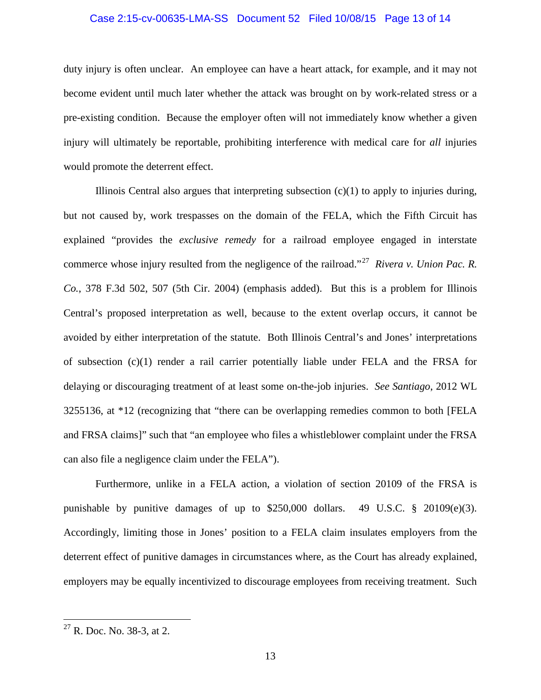#### Case 2:15-cv-00635-LMA-SS Document 52 Filed 10/08/15 Page 13 of 14

duty injury is often unclear. An employee can have a heart attack, for example, and it may not become evident until much later whether the attack was brought on by work-related stress or a pre-existing condition. Because the employer often will not immediately know whether a given injury will ultimately be reportable, prohibiting interference with medical care for *all* injuries would promote the deterrent effect.

Illinois Central also argues that interpreting subsection  $(c)(1)$  to apply to injuries during, but not caused by, work trespasses on the domain of the FELA, which the Fifth Circuit has explained "provides the *exclusive remedy* for a railroad employee engaged in interstate commerce whose injury resulted from the negligence of the railroad."27 *Rivera v. Union Pac. R. Co.*, 378 F.3d 502, 507 (5th Cir. 2004) (emphasis added). But this is a problem for Illinois Central's proposed interpretation as well, because to the extent overlap occurs, it cannot be avoided by either interpretation of the statute. Both Illinois Central's and Jones' interpretations of subsection (c)(1) render a rail carrier potentially liable under FELA and the FRSA for delaying or discouraging treatment of at least some on-the-job injuries. *See Santiago*, 2012 WL 3255136, at \*12 (recognizing that "there can be overlapping remedies common to both [FELA and FRSA claims]" such that "an employee who files a whistleblower complaint under the FRSA can also file a negligence claim under the FELA").

Furthermore, unlike in a FELA action, a violation of section 20109 of the FRSA is punishable by punitive damages of up to \$250,000 dollars. 49 U.S.C. § 20109(e)(3). Accordingly, limiting those in Jones' position to a FELA claim insulates employers from the deterrent effect of punitive damages in circumstances where, as the Court has already explained, employers may be equally incentivized to discourage employees from receiving treatment. Such

 $27$  R. Doc. No. 38-3, at 2.